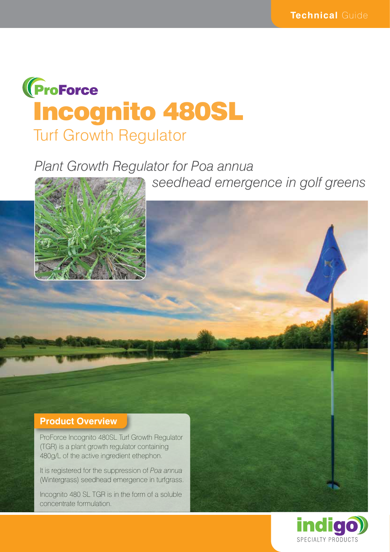

# *Plant Growth Regulator for Poa annua*

 *seedhead emergence in golf greens*



#### **Product Overview**

ProForce Incognito 480SL Turf Growth Regulator (TGR) is a plant growth regulator containing 480g/L of the active ingredient ethephon.

It is registered for the suppression of *Poa annua*  (Wintergrass) seedhead emergence in turfgrass.

Incognito 480 SL TGR is in the form of a soluble concentrate formulation.